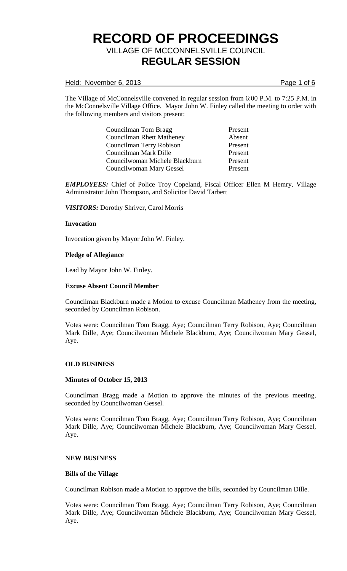### Held: November 6, 2013 **Page 1** of 6

The Village of McConnelsville convened in regular session from 6:00 P.M. to 7:25 P.M. in the McConnelsville Village Office. Mayor John W. Finley called the meeting to order with the following members and visitors present:

> Councilman Tom Bragg Present Councilman Rhett Matheney Absent Councilman Terry Robison Present Councilman Mark Dille Present Councilwoman Michele Blackburn Present Councilwoman Mary Gessel Present

*EMPLOYEES:* Chief of Police Troy Copeland, Fiscal Officer Ellen M Hemry, Village Administrator John Thompson, and Solicitor David Tarbert

*VISITORS:* Dorothy Shriver, Carol Morris

### **Invocation**

Invocation given by Mayor John W. Finley.

### **Pledge of Allegiance**

Lead by Mayor John W. Finley.

#### **Excuse Absent Council Member**

Councilman Blackburn made a Motion to excuse Councilman Matheney from the meeting, seconded by Councilman Robison.

Votes were: Councilman Tom Bragg, Aye; Councilman Terry Robison, Aye; Councilman Mark Dille, Aye; Councilwoman Michele Blackburn, Aye; Councilwoman Mary Gessel, Aye.

#### **OLD BUSINESS**

#### **Minutes of October 15, 2013**

Councilman Bragg made a Motion to approve the minutes of the previous meeting, seconded by Councilwoman Gessel.

Votes were: Councilman Tom Bragg, Aye; Councilman Terry Robison, Aye; Councilman Mark Dille, Aye; Councilwoman Michele Blackburn, Aye; Councilwoman Mary Gessel, Aye.

### **NEW BUSINESS**

### **Bills of the Village**

Councilman Robison made a Motion to approve the bills, seconded by Councilman Dille.

Votes were: Councilman Tom Bragg, Aye; Councilman Terry Robison, Aye; Councilman Mark Dille, Aye; Councilwoman Michele Blackburn, Aye; Councilwoman Mary Gessel, Aye.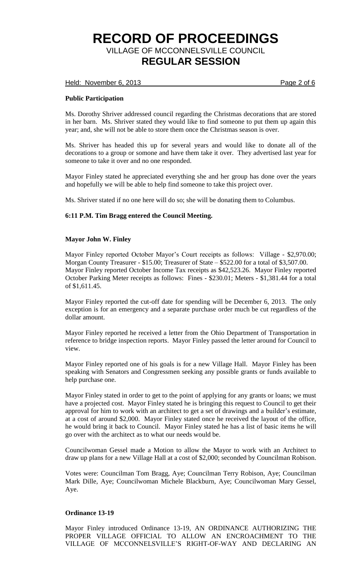Held: November 6, 2013 **Page 2 of 6** 

## **Public Participation**

Ms. Dorothy Shriver addressed council regarding the Christmas decorations that are stored in her barn. Ms. Shriver stated they would like to find someone to put them up again this year; and, she will not be able to store them once the Christmas season is over.

Ms. Shriver has headed this up for several years and would like to donate all of the decorations to a group or somone and have them take it over. They advertised last year for someone to take it over and no one responded.

Mayor Finley stated he appreciated everything she and her group has done over the years and hopefully we will be able to help find someone to take this project over.

Ms. Shriver stated if no one here will do so; she will be donating them to Columbus.

## **6:11 P.M. Tim Bragg entered the Council Meeting.**

## **Mayor John W. Finley**

Mayor Finley reported October Mayor's Court receipts as follows: Village - \$2,970.00; Morgan County Treasurer - \$15.00; Treasurer of State – \$522.00 for a total of \$3,507.00. Mayor Finley reported October Income Tax receipts as \$42,523.26. Mayor Finley reported October Parking Meter receipts as follows: Fines - \$230.01; Meters - \$1,381.44 for a total of \$1,611.45.

Mayor Finley reported the cut-off date for spending will be December 6, 2013. The only exception is for an emergency and a separate purchase order much be cut regardless of the dollar amount.

Mayor Finley reported he received a letter from the Ohio Department of Transportation in reference to bridge inspection reports. Mayor Finley passed the letter around for Council to view.

Mayor Finley reported one of his goals is for a new Village Hall. Mayor Finley has been speaking with Senators and Congressmen seeking any possible grants or funds available to help purchase one.

Mayor Finley stated in order to get to the point of applying for any grants or loans; we must have a projected cost. Mayor Finley stated he is bringing this request to Council to get their approval for him to work with an architect to get a set of drawings and a builder's estimate, at a cost of around \$2,000. Mayor Finley stated once he received the layout of the office, he would bring it back to Council. Mayor Finley stated he has a list of basic items he will go over with the architect as to what our needs would be.

Councilwoman Gessel made a Motion to allow the Mayor to work with an Architect to draw up plans for a new Village Hall at a cost of \$2,000; seconded by Councilman Robison.

Votes were: Councilman Tom Bragg, Aye; Councilman Terry Robison, Aye; Councilman Mark Dille, Aye; Councilwoman Michele Blackburn, Aye; Councilwoman Mary Gessel, Aye.

## **Ordinance 13-19**

Mayor Finley introduced Ordinance 13-19, AN ORDINANCE AUTHORIZING THE PROPER VILLAGE OFFICIAL TO ALLOW AN ENCROACHMENT TO THE VILLAGE OF MCCONNELSVILLE'S RIGHT-OF-WAY AND DECLARING AN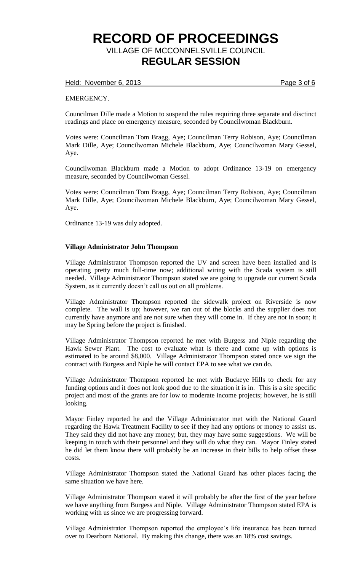Held: November 6, 2013 **Page 3 of 6** 

EMERGENCY.

Councilman Dille made a Motion to suspend the rules requiring three separate and disctinct readings and place on emergency measure, seconded by Councilwoman Blackburn.

Votes were: Councilman Tom Bragg, Aye; Councilman Terry Robison, Aye; Councilman Mark Dille, Aye; Councilwoman Michele Blackburn, Aye; Councilwoman Mary Gessel, Aye.

Councilwoman Blackburn made a Motion to adopt Ordinance 13-19 on emergency measure, seconded by Councilwoman Gessel.

Votes were: Councilman Tom Bragg, Aye; Councilman Terry Robison, Aye; Councilman Mark Dille, Aye; Councilwoman Michele Blackburn, Aye; Councilwoman Mary Gessel, Aye.

Ordinance 13-19 was duly adopted.

### **Village Administrator John Thompson**

Village Administrator Thompson reported the UV and screen have been installed and is operating pretty much full-time now; additional wiring with the Scada system is still needed. Village Administrator Thompson stated we are going to upgrade our current Scada System, as it currently doesn't call us out on all problems.

Village Administrator Thompson reported the sidewalk project on Riverside is now complete. The wall is up; however, we ran out of the blocks and the supplier does not currently have anymore and are not sure when they will come in. If they are not in soon; it may be Spring before the project is finished.

Village Administrator Thompson reported he met with Burgess and Niple regarding the Hawk Sewer Plant. The cost to evaluate what is there and come up with options is estimated to be around \$8,000. Village Administrator Thompson stated once we sign the contract with Burgess and Niple he will contact EPA to see what we can do.

Village Administrator Thompson reported he met with Buckeye Hills to check for any funding options and it does not look good due to the situation it is in. This is a site specific project and most of the grants are for low to moderate income projects; however, he is still looking.

Mayor Finley reported he and the Village Administrator met with the National Guard regarding the Hawk Treatment Facility to see if they had any options or money to assist us. They said they did not have any money; but, they may have some suggestions. We will be keeping in touch with their personnel and they will do what they can. Mayor Finley stated he did let them know there will probably be an increase in their bills to help offset these costs.

Village Administrator Thompson stated the National Guard has other places facing the same situation we have here.

Village Administrator Thompson stated it will probably be after the first of the year before we have anything from Burgess and Niple. Village Administrator Thompson stated EPA is working with us since we are progressing forward.

Village Administrator Thompson reported the employee's life insurance has been turned over to Dearborn National. By making this change, there was an 18% cost savings.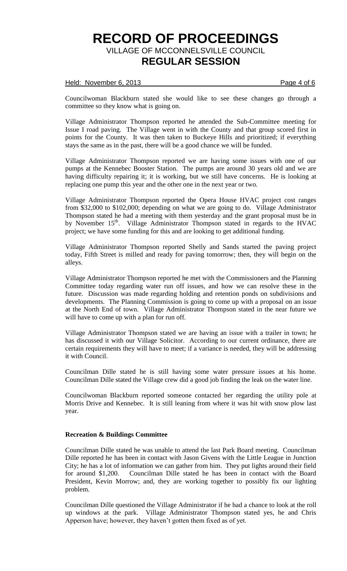### Held: November 6, 2013 **Page 4 of 6**

Councilwoman Blackburn stated she would like to see these changes go through a committee so they know what is going on.

Village Administrator Thompson reported he attended the Sub-Committee meeting for Issue I road paving. The Village went in with the County and that group scored first in points for the County. It was then taken to Buckeye Hills and prioritized; if everything stays the same as in the past, there will be a good chance we will be funded.

Village Administrator Thompson reported we are having some issues with one of our pumps at the Kennebec Booster Station. The pumps are around 30 years old and we are having difficulty repairing it; it is working, but we still have concerns. He is looking at replacing one pump this year and the other one in the next year or two.

Village Administrator Thompson reported the Opera House HVAC project cost ranges from \$32,000 to \$102,000; depending on what we are going to do. Village Administrator Thompson stated he had a meeting with them yesterday and the grant proposal must be in by November 15<sup>th</sup>. Village Administrator Thompson stated in regards to the HVAC project; we have some funding for this and are looking to get additional funding.

Village Administrator Thompson reported Shelly and Sands started the paving project today, Fifth Street is milled and ready for paving tomorrow; then, they will begin on the alleys.

Village Administrator Thompson reported he met with the Commissioners and the Planning Committee today regarding water run off issues, and how we can resolve these in the future. Discussion was made regarding holding and retention ponds on subdivisions and developments. The Planning Commission is going to come up with a proposal on an issue at the North End of town. Village Administrator Thompson stated in the near future we will have to come up with a plan for run off.

Village Administrator Thompson stated we are having an issue with a trailer in town; he has discussed it with our Village Solicitor. According to our current ordinance, there are certain requirements they will have to meet; if a variance is needed, they will be addressing it with Council.

Councilman Dille stated he is still having some water pressure issues at his home. Councilman Dille stated the Village crew did a good job finding the leak on the water line.

Councilwoman Blackburn reported someone contacted her regarding the utility pole at Morris Drive and Kennebec. It is still leaning from where it was hit with snow plow last year.

## **Recreation & Buildings Committee**

Councilman Dille stated he was unable to attend the last Park Board meeting. Councilman Dille reported he has been in contact with Jason Givens with the Little League in Junction City; he has a lot of information we can gather from him. They put lights around their field for around \$1,200. Councilman Dille stated he has been in contact with the Board President, Kevin Morrow; and, they are working together to possibly fix our lighting problem.

Councilman Dille questioned the Village Administrator if he had a chance to look at the roll up windows at the park. Village Administrator Thompson stated yes, he and Chris Apperson have; however, they haven't gotten them fixed as of yet.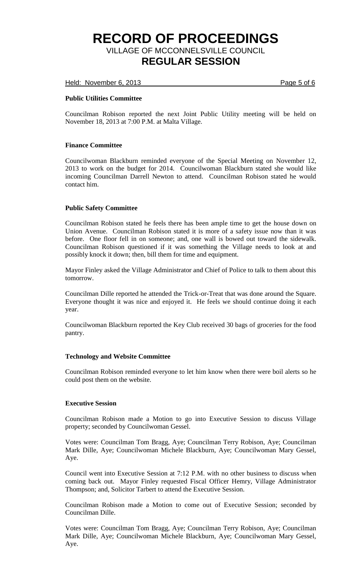Held: November 6, 2013 **Page 5 of 6** 

## **Public Utilities Committee**

Councilman Robison reported the next Joint Public Utility meeting will be held on November 18, 2013 at 7:00 P.M. at Malta Village.

## **Finance Committee**

Councilwoman Blackburn reminded everyone of the Special Meeting on November 12, 2013 to work on the budget for 2014. Councilwoman Blackburn stated she would like incoming Councilman Darrell Newton to attend. Councilman Robison stated he would contact him.

## **Public Safety Committee**

Councilman Robison stated he feels there has been ample time to get the house down on Union Avenue. Councilman Robison stated it is more of a safety issue now than it was before. One floor fell in on someone; and, one wall is bowed out toward the sidewalk. Councilman Robison questioned if it was something the Village needs to look at and possibly knock it down; then, bill them for time and equipment.

Mayor Finley asked the Village Administrator and Chief of Police to talk to them about this tomorrow.

Councilman Dille reported he attended the Trick-or-Treat that was done around the Square. Everyone thought it was nice and enjoyed it. He feels we should continue doing it each year.

Councilwoman Blackburn reported the Key Club received 30 bags of groceries for the food pantry.

## **Technology and Website Committee**

Councilman Robison reminded everyone to let him know when there were boil alerts so he could post them on the website.

## **Executive Session**

Councilman Robison made a Motion to go into Executive Session to discuss Village property; seconded by Councilwoman Gessel.

Votes were: Councilman Tom Bragg, Aye; Councilman Terry Robison, Aye; Councilman Mark Dille, Aye; Councilwoman Michele Blackburn, Aye; Councilwoman Mary Gessel, Aye.

Council went into Executive Session at 7:12 P.M. with no other business to discuss when coming back out. Mayor Finley requested Fiscal Officer Hemry, Village Administrator Thompson; and, Solicitor Tarbert to attend the Executive Session.

Councilman Robison made a Motion to come out of Executive Session; seconded by Councilman Dille.

Votes were: Councilman Tom Bragg, Aye; Councilman Terry Robison, Aye; Councilman Mark Dille, Aye; Councilwoman Michele Blackburn, Aye; Councilwoman Mary Gessel, Aye.